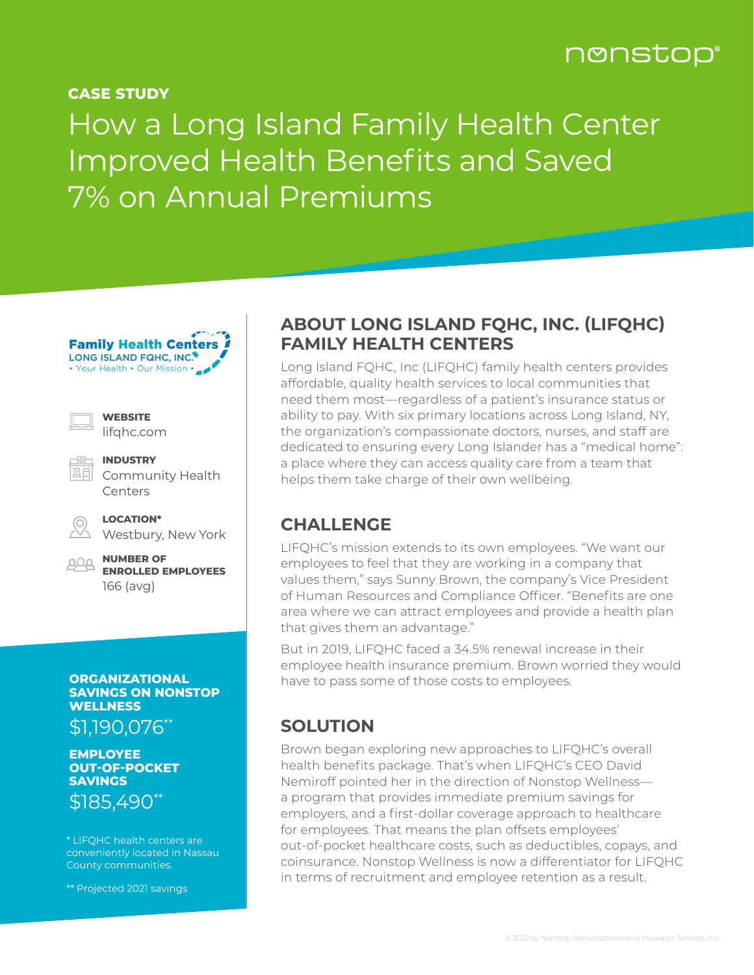## nonstop®

**CASE STUDY** 

# How a Long Island Family Health Center Improved Health Benefits and Saved 7% on Annual Premiums

**Family Health Centers** LONG ISLAND FQHC, INC. • Your Health • Our Mission • \_

**WEBSITE** 

|  | lifqhc.com |
|--|------------|
|--|------------|

**INDUSTRY** 四目 Community Health Centers

|     | $\overline{\phantom{a}}$ |  |  |
|-----|--------------------------|--|--|
| . . |                          |  |  |

Westbury, New York

**LOCATION\***

**NUMBER OF ENROLLED EMPLOYEES**  166 (avg)

#### **ORGANIZATIONAL SAVINGS ON NONSTOP WELLNESS**

\$1,190,076\*\*

**EMPLOYEE OUT-OF-POCKET SAVINGS** \$185,490\*\*

\* LIFQHC health centers are conveniently located in Nassau County communities.

\*\* Projected 2021 savings

#### **ABOUT LONG ISLAND FQHC, INC. (LIFQHC) FAMILY HEALTH CENTERS**

Long Island FQHC, Inc (LIFQHC) family health centers provides affordable, quality health services to local communities that need them most—regardless of a patient's insurance status or ability to pay. With six primary locations across Long Island, NY, the organization's compassionate doctors, nurses, and staff are dedicated to ensuring every Long Islander has a "medical home": a place where they can access quality care from a team that helps them take charge of their own wellbeing.

#### **CHALLENGE**

LIFQHC's mission extends to its own employees. "We want our employees to feel that they are working in a company that values them," says Sunny Brown, the company's Vice President of Human Resources and Compliance Officer. "Benefits are one area where we can attract employees and provide a health plan that gives them an advantage."

But in 2019, LIFQHC faced a 34.5% renewal increase in their employee health insurance premium. Brown worried they would have to pass some of those costs to employees.

#### **SOLUTION**

Brown began exploring new approaches to LIFQHC's overall health benefits package. That's when LIFQHC's CEO David Nemiroff pointed her in the direction of Nonstop Wellness a program that provides immediate premium savings for employers, and a first-dollar coverage approach to healthcare for employees. That means the plan offsets employees' out-of-pocket healthcare costs, such as deductibles, copays, and coinsurance. Nonstop Wellness is now a differentiator for LIFQHC in terms of recruitment and employee retention as a result.